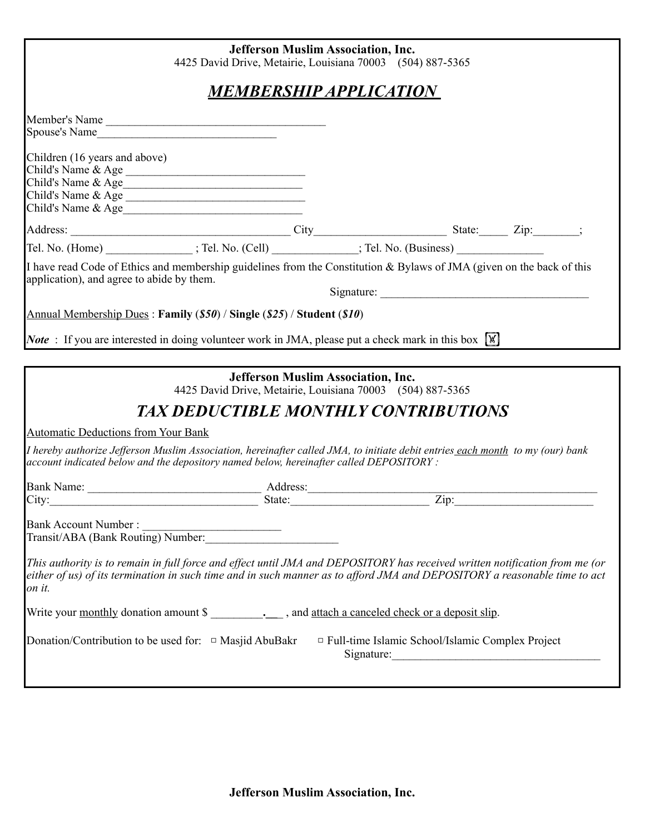| <b>Jefferson Muslim Association, Inc.</b><br>4425 David Drive, Metairie, Louisiana 70003 (504) 887-5365 |                                                                                                                                                                                                                                                          |                                           |                                                                       |  |
|---------------------------------------------------------------------------------------------------------|----------------------------------------------------------------------------------------------------------------------------------------------------------------------------------------------------------------------------------------------------------|-------------------------------------------|-----------------------------------------------------------------------|--|
| <b>MEMBERSHIP APPLICATION</b>                                                                           |                                                                                                                                                                                                                                                          |                                           |                                                                       |  |
|                                                                                                         | Member's Name                                                                                                                                                                                                                                            |                                           |                                                                       |  |
| Children (16 years and above)                                                                           | Child's Name & Age<br>Child's Name & Age<br>Child's Name & Age                                                                                                                                                                                           |                                           |                                                                       |  |
|                                                                                                         |                                                                                                                                                                                                                                                          |                                           |                                                                       |  |
|                                                                                                         | Address: City City State: Zip: Zip: : ; Tel. No. (Cell) City State: Zip: : ; 7el. No. (Home) ______________; Tel. No. (Cell) ____________; Tel. No. (Business) _________________________; Tel. No. (Business) ________________                           |                                           |                                                                       |  |
| application), and agree to abide by them.                                                               | I have read Code of Ethics and membership guidelines from the Constitution & Bylaws of JMA (given on the back of this                                                                                                                                    |                                           |                                                                       |  |
|                                                                                                         | Annual Membership Dues: Family $(S50)$ / Single $(S25)$ / Student $(S10)$                                                                                                                                                                                |                                           |                                                                       |  |
|                                                                                                         | <b>Note</b> : If you are interested in doing volunteer work in JMA, please put a check mark in this box $\mathbb{W}$                                                                                                                                     |                                           |                                                                       |  |
|                                                                                                         | 4425 David Drive, Metairie, Louisiana 70003 (504) 887-5365<br><b>TAX DEDUCTIBLE MONTHLY CONTRIBUTIONS</b>                                                                                                                                                | <b>Jefferson Muslim Association, Inc.</b> |                                                                       |  |
| <b>Automatic Deductions from Your Bank</b>                                                              |                                                                                                                                                                                                                                                          |                                           |                                                                       |  |
|                                                                                                         | I hereby authorize Jefferson Muslim Association, hereinafter called JMA, to initiate debit entries each month to my (our) bank<br>account indicated below and the depository named below, hereinafter called DEPOSITORY:                                 |                                           |                                                                       |  |
|                                                                                                         |                                                                                                                                                                                                                                                          |                                           |                                                                       |  |
|                                                                                                         |                                                                                                                                                                                                                                                          |                                           |                                                                       |  |
|                                                                                                         |                                                                                                                                                                                                                                                          |                                           |                                                                       |  |
| on it.                                                                                                  | This authority is to remain in full force and effect until JMA and DEPOSITORY has received written notification from me (or<br>either of us) of its termination in such time and in such manner as to afford JMA and DEPOSITORY a reasonable time to act |                                           |                                                                       |  |
|                                                                                                         |                                                                                                                                                                                                                                                          |                                           |                                                                       |  |
| Donation/Contribution to be used for: $\Box$ Masjid AbuBakr                                             |                                                                                                                                                                                                                                                          |                                           | $\Box$ Full-time Islamic School/Islamic Complex Project<br>Signature: |  |
|                                                                                                         |                                                                                                                                                                                                                                                          |                                           |                                                                       |  |